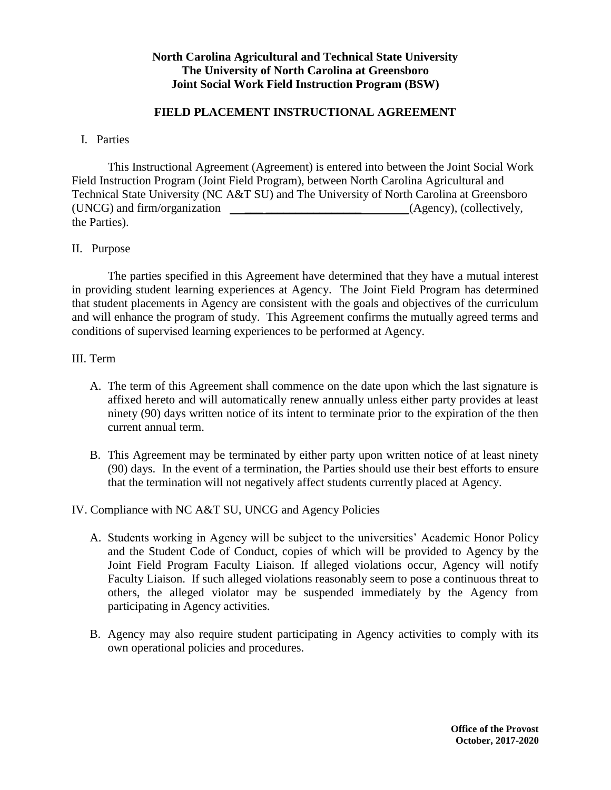## **North Carolina Agricultural and Technical State University The University of North Carolina at Greensboro Joint Social Work Field Instruction Program (BSW)**

## **FIELD PLACEMENT INSTRUCTIONAL AGREEMENT**

#### I. Parties

This Instructional Agreement (Agreement) is entered into between the Joint Social Work Field Instruction Program (Joint Field Program), between North Carolina Agricultural and Technical State University (NC A&T SU) and The University of North Carolina at Greensboro (UNCG) and firm/organization \_\_\_ \_\_\_\_\_\_\_\_\_\_\_\_\_\_\_\_ (Agency), (collectively, the Parties).

### II. Purpose

The parties specified in this Agreement have determined that they have a mutual interest in providing student learning experiences at Agency. The Joint Field Program has determined that student placements in Agency are consistent with the goals and objectives of the curriculum and will enhance the program of study. This Agreement confirms the mutually agreed terms and conditions of supervised learning experiences to be performed at Agency.

#### III. Term

- A. The term of this Agreement shall commence on the date upon which the last signature is affixed hereto and will automatically renew annually unless either party provides at least ninety (90) days written notice of its intent to terminate prior to the expiration of the then current annual term.
- B. This Agreement may be terminated by either party upon written notice of at least ninety (90) days. In the event of a termination, the Parties should use their best efforts to ensure that the termination will not negatively affect students currently placed at Agency.

### IV. Compliance with NC A&T SU, UNCG and Agency Policies

- A. Students working in Agency will be subject to the universities' Academic Honor Policy and the Student Code of Conduct, copies of which will be provided to Agency by the Joint Field Program Faculty Liaison. If alleged violations occur, Agency will notify Faculty Liaison. If such alleged violations reasonably seem to pose a continuous threat to others, the alleged violator may be suspended immediately by the Agency from participating in Agency activities.
- B. Agency may also require student participating in Agency activities to comply with its own operational policies and procedures.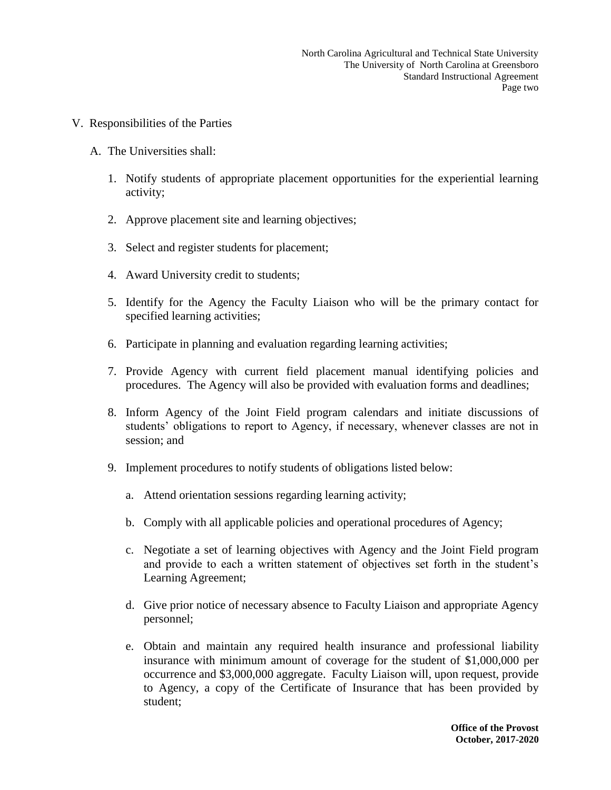- V. Responsibilities of the Parties
	- A. The Universities shall:
		- 1. Notify students of appropriate placement opportunities for the experiential learning activity;
		- 2. Approve placement site and learning objectives;
		- 3. Select and register students for placement;
		- 4. Award University credit to students;
		- 5. Identify for the Agency the Faculty Liaison who will be the primary contact for specified learning activities;
		- 6. Participate in planning and evaluation regarding learning activities;
		- 7. Provide Agency with current field placement manual identifying policies and procedures. The Agency will also be provided with evaluation forms and deadlines;
		- 8. Inform Agency of the Joint Field program calendars and initiate discussions of students' obligations to report to Agency, if necessary, whenever classes are not in session; and
		- 9. Implement procedures to notify students of obligations listed below:
			- a. Attend orientation sessions regarding learning activity;
			- b. Comply with all applicable policies and operational procedures of Agency;
			- c. Negotiate a set of learning objectives with Agency and the Joint Field program and provide to each a written statement of objectives set forth in the student's Learning Agreement;
			- d. Give prior notice of necessary absence to Faculty Liaison and appropriate Agency personnel;
			- e. Obtain and maintain any required health insurance and professional liability insurance with minimum amount of coverage for the student of \$1,000,000 per occurrence and \$3,000,000 aggregate. Faculty Liaison will, upon request, provide to Agency, a copy of the Certificate of Insurance that has been provided by student;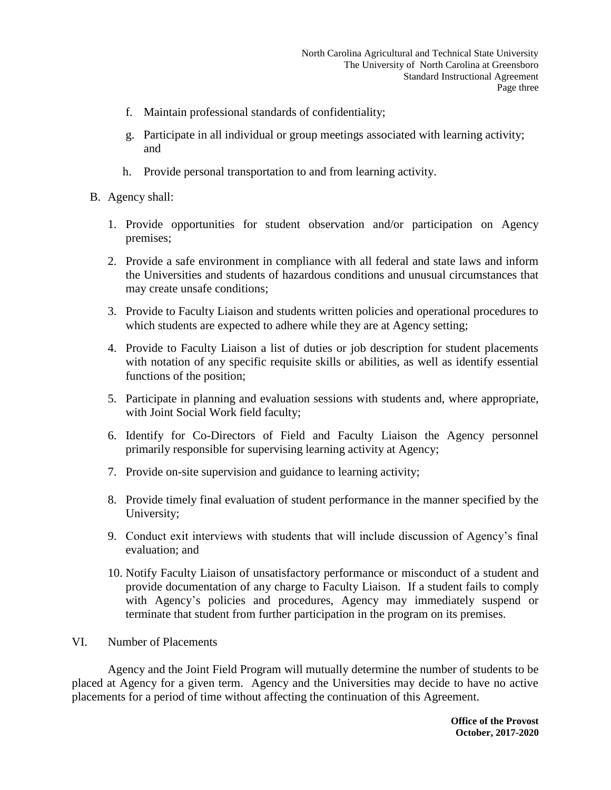- f. Maintain professional standards of confidentiality;
- g. Participate in all individual or group meetings associated with learning activity; and
- h. Provide personal transportation to and from learning activity.
- B. Agency shall:
	- 1. Provide opportunities for student observation and/or participation on Agency premises;
	- 2. Provide a safe environment in compliance with all federal and state laws and inform the Universities and students of hazardous conditions and unusual circumstances that may create unsafe conditions;
	- 3. Provide to Faculty Liaison and students written policies and operational procedures to which students are expected to adhere while they are at Agency setting;
	- 4. Provide to Faculty Liaison a list of duties or job description for student placements with notation of any specific requisite skills or abilities, as well as identify essential functions of the position;
	- 5. Participate in planning and evaluation sessions with students and, where appropriate, with Joint Social Work field faculty;
	- 6. Identify for Co-Directors of Field and Faculty Liaison the Agency personnel primarily responsible for supervising learning activity at Agency;
	- 7. Provide on-site supervision and guidance to learning activity;
	- 8. Provide timely final evaluation of student performance in the manner specified by the University;
	- 9. Conduct exit interviews with students that will include discussion of Agency's final evaluation; and
	- 10. Notify Faculty Liaison of unsatisfactory performance or misconduct of a student and provide documentation of any charge to Faculty Liaison. If a student fails to comply with Agency's policies and procedures, Agency may immediately suspend or terminate that student from further participation in the program on its premises.
- VI. Number of Placements

Agency and the Joint Field Program will mutually determine the number of students to be placed at Agency for a given term. Agency and the Universities may decide to have no active placements for a period of time without affecting the continuation of this Agreement.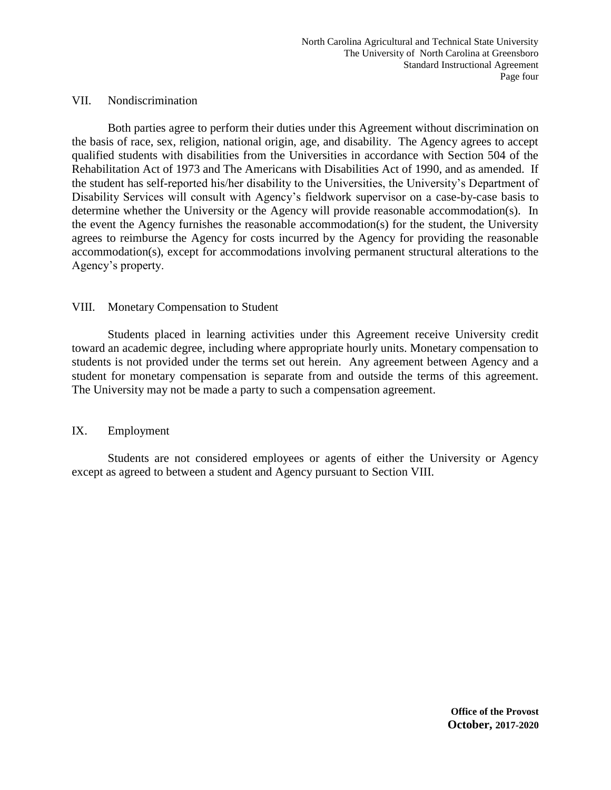#### VII. Nondiscrimination

Both parties agree to perform their duties under this Agreement without discrimination on the basis of race, sex, religion, national origin, age, and disability. The Agency agrees to accept qualified students with disabilities from the Universities in accordance with Section 504 of the Rehabilitation Act of 1973 and The Americans with Disabilities Act of 1990, and as amended. If the student has self-reported his/her disability to the Universities, the University's Department of Disability Services will consult with Agency's fieldwork supervisor on a case-by-case basis to determine whether the University or the Agency will provide reasonable accommodation(s). In the event the Agency furnishes the reasonable accommodation(s) for the student, the University agrees to reimburse the Agency for costs incurred by the Agency for providing the reasonable accommodation(s), except for accommodations involving permanent structural alterations to the Agency's property.

### VIII. Monetary Compensation to Student

Students placed in learning activities under this Agreement receive University credit toward an academic degree, including where appropriate hourly units. Monetary compensation to students is not provided under the terms set out herein. Any agreement between Agency and a student for monetary compensation is separate from and outside the terms of this agreement. The University may not be made a party to such a compensation agreement.

### IX. Employment

Students are not considered employees or agents of either the University or Agency except as agreed to between a student and Agency pursuant to Section VIII.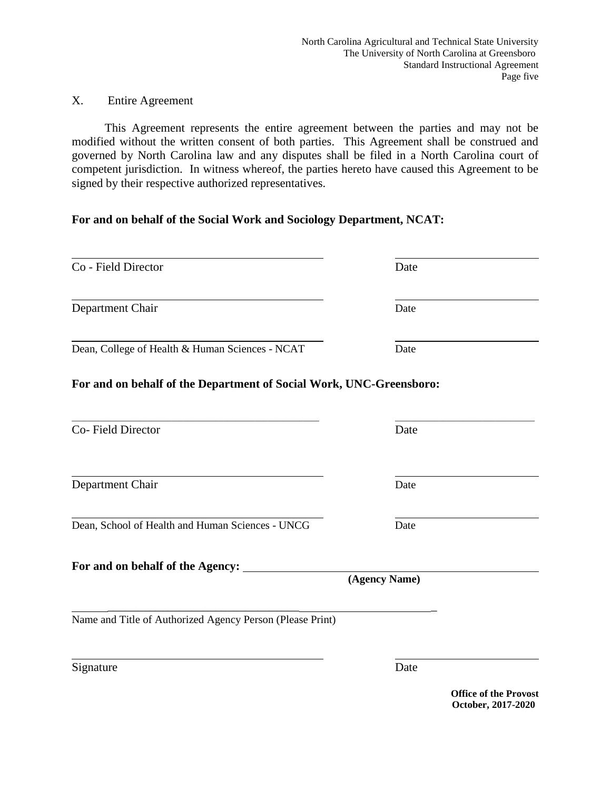# X. Entire Agreement

 This Agreement represents the entire agreement between the parties and may not be modified without the written consent of both parties. This Agreement shall be construed and governed by North Carolina law and any disputes shall be filed in a North Carolina court of competent jurisdiction. In witness whereof, the parties hereto have caused this Agreement to be signed by their respective authorized representatives.

# **For and on behalf of the Social Work and Sociology Department, NCAT:**

| Co - Field Director                                                 | Date          |
|---------------------------------------------------------------------|---------------|
| Department Chair                                                    | Date          |
| Dean, College of Health & Human Sciences - NCAT                     | Date          |
| For and on behalf of the Department of Social Work, UNC-Greensboro: |               |
| Co-Field Director                                                   | Date          |
| Department Chair                                                    | Date          |
| Dean, School of Health and Human Sciences - UNCG                    | Date          |
| For and on behalf of the Agency: ______                             | (Agency Name) |
| Name and Title of Authorized Agency Person (Please Print)           |               |
|                                                                     | Date          |
| Signature                                                           | ⌒ ∩∩          |

**Office of the Provost October, 2017-2020**